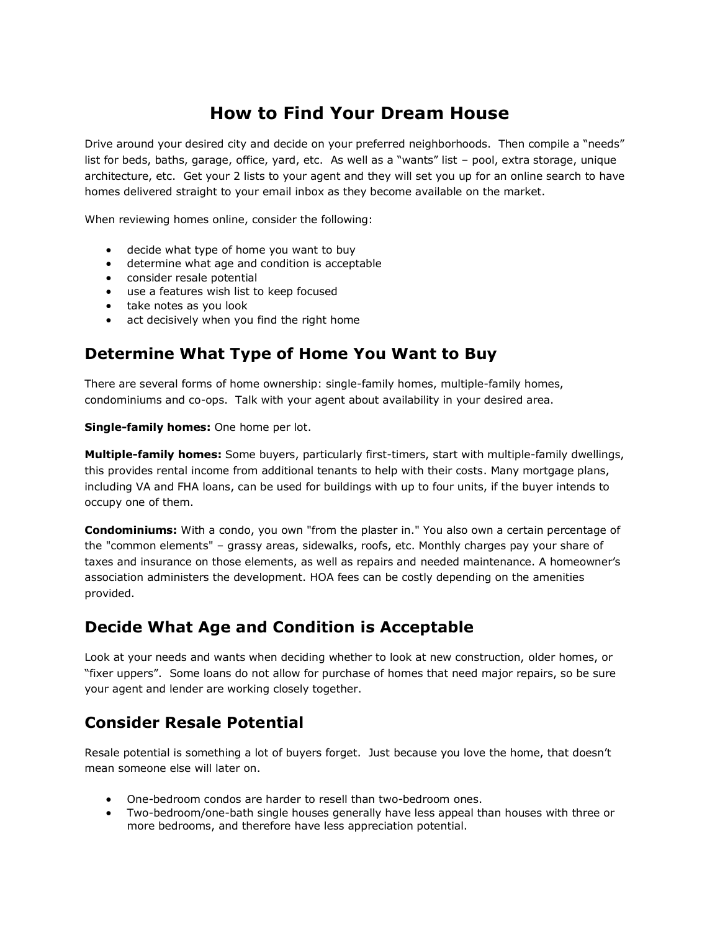# **How to Find Your Dream House**

Drive around your desired city and decide on your preferred neighborhoods. Then compile a "needs" list for beds, baths, garage, office, yard, etc. As well as a "wants" list – pool, extra storage, unique architecture, etc. Get your 2 lists to your agent and they will set you up for an online search to have homes delivered straight to your email inbox as they become available on the market.

When reviewing homes online, consider the following:

- decide what type of home you want to buy
- determine what age and condition is acceptable
- consider resale potential
- use a features wish list to keep focused
- take notes as you look
- act decisively when you find the right home

### **Determine What Type of Home You Want to Buy**

There are several forms of home ownership: single-family homes, multiple-family homes, condominiums and co-ops. Talk with your agent about availability in your desired area.

**Single-family homes:** One home per lot.

**Multiple-family homes:** Some buyers, particularly first-timers, start with multiple-family dwellings, this provides rental income from additional tenants to help with their costs. Many mortgage plans, including VA and FHA loans, can be used for buildings with up to four units, if the buyer intends to occupy one of them.

**Condominiums:** With a condo, you own "from the plaster in." You also own a certain percentage of the "common elements" – grassy areas, sidewalks, roofs, etc. Monthly charges pay your share of taxes and insurance on those elements, as well as repairs and needed maintenance. A homeowner's association administers the development. HOA fees can be costly depending on the amenities provided.

#### **Decide What Age and Condition is Acceptable**

Look at your needs and wants when deciding whether to look at new construction, older homes, or "fixer uppers". Some loans do not allow for purchase of homes that need major repairs, so be sure your agent and lender are working closely together.

#### **Consider Resale Potential**

Resale potential is something a lot of buyers forget. Just because you love the home, that doesn't mean someone else will later on.

- One-bedroom condos are harder to resell than two-bedroom ones.
- Two-bedroom/one-bath single houses generally have less appeal than houses with three or more bedrooms, and therefore have less appreciation potential.